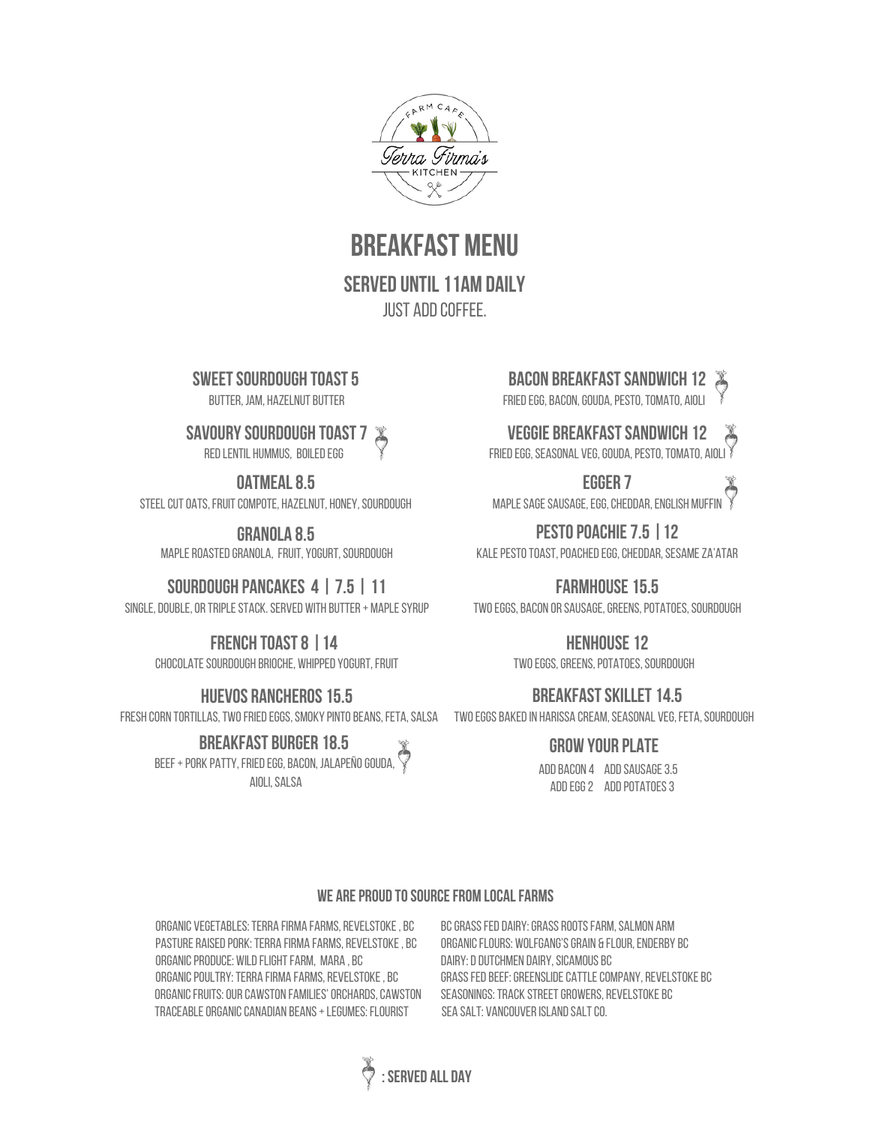

**BREAKFAST MENII** 

**SERVED UNTIL 11AM DAILY** JUST ADD COFFFF.

**SWEET SOURDOUGH TOAST 5** 

**BUTTER, JAM, HAZELNUT BUTTER** 

#### **savourysourdough toast7**

RED LENTIL HUMMUS, BOILED EGG

**OATMEAL 8.5** 

STEEL CUT OATS. FRUIT COMPOTE, HAZELNUT, HONEY, SOURDOUGH

**granola 8.5** MAPLE ROASTED GRANOLA, FRUIT, YOGURT, SOURDOUGH

#### **sourdough Pancakes 4 | 7.5 | 11**

SINGLE, DOUBLE, OR TRIPLE STACK. SERVED WITH BUTTER + MAPLE SYRUP

#### **French toast8 |14**

CHOCOLATE SOURDOUGH BRIOCHE, WHIPPED YOGURT, FRUIT

#### **HUEVOS RANCHEROS 15.5**

FRESH CORN TORTILLAS, TWO FRIED EGGS, SMOKY PINTO BEANS, FETA, SALSA TWO EGGS BAKED IN HARISSA CREAM, SEASONAL VEG, FETA, SOURDOUGH

**breakfast burger 18.5** beef+pork patty,friedegg,Bacon, jalapeñogouda, Aioli,Salsa

**Bacon breakfastsandwich 12**

FRIED EGG, BACON, GOUDA, PESTO, TOMATO, AIOLI

### **veggie breakfastsandwich 12**

FRIED EGG, SEASONAL VEG, GOUDA, PESTO, TOMATO, AIOLI

**egger 7** MAPLE SAGE SAUSAGE, EGG, CHEDDAR, ENGLISH MUFFIN

**pestopoachie7.5 |12** KALE PESTO TOAST, POACHED EGG, CHEDDAR, SESAME ZA'ATAR

**farmhouse15.5** TWO EGGS, BACON OR SAUSAGE, GREENS, POTATOES, SOURDOUGH

> **HENHOUSE 12** TWO EGGS, GREENS, POTATOES, SOURDOUGH

## **BREAKFAST SKILLET 14.5**

#### **grow your plate**

Addbacon 4 Addsausage3.5 ADD EGG 2 ADD POTATOES 3

#### **WE ARE PROUD TO SOURCE FROM LOCAL FARMS**

ORGANIC VEGETABLES: TERRA FIRMA FARMS, REVELSTOKE, BC PASTURE RAISED PORK: TERRA FIRMA FARMS, REVELSTOKE, BC ORGANIC PRODUCE: WILD FLIGHT FARM, MARA, BC ORGANIC POULTRY: TERRA FIRMA FARMS, REVELSTOKE, BC ORGANIC FRUITS: OUR CAWSTON FAMILIES' ORCHARDS, CAWSTON TRACEABLE ORGANIC CANADIAN BEANS + LEGUMES: FLOURIST SEA SALT: VANCOUVER ISLAND SALT CO.

BC GRASS FED DAIRY: GRASS ROOTS FARM, SALMON ARM ORGANIC FLOURS: WOLFGANG'S GRAIN & FLOUR, ENDERBY BC DAIRY: D DUTCHMEN DAIRY, SICAMOUS BC GRASS FED BEEF: GREENSLIDE CATTLE COMPANY, REVELSTOKE BC SEASONINGS: TRACK STREET GROWERS, REVELSTOKE BC